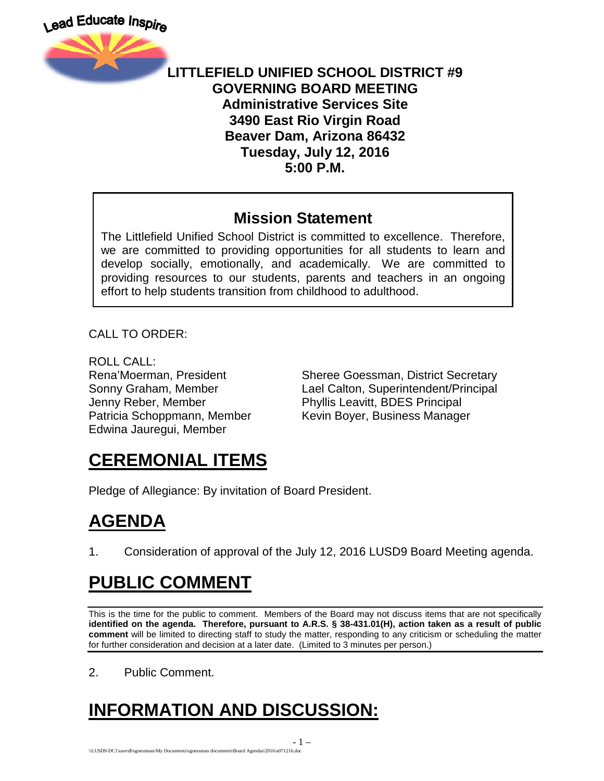

#### **LITTLEFIELD UNIFIED SCHOOL DISTRICT #9 GOVERNING BOARD MEETING Administrative Services Site 3490 East Rio Virgin Road Beaver Dam, Arizona 86432 Tuesday, July 12, 2016 5:00 P.M.**

### **Mission Statement**

The Littlefield Unified School District is committed to excellence. Therefore, we are committed to providing opportunities for all students to learn and develop socially, emotionally, and academically. We are committed to providing resources to our students, parents and teachers in an ongoing effort to help students transition from childhood to adulthood.

CALL TO ORDER:

ROLL CALL: Jenny Reber, Member Phyllis Leavitt, BDES Principal Edwina Jauregui, Member

Rena'Moerman, President Sheree Goessman, District Secretary Sonny Graham, Member Lael Calton, Superintendent/Principal Patricia Schoppmann, Member Kevin Boyer, Business Manager

## **CEREMONIAL ITEMS**

Pledge of Allegiance: By invitation of Board President.

## **AGENDA**

1. Consideration of approval of the July 12, 2016 LUSD9 Board Meeting agenda.

## **PUBLIC COMMENT**

This is the time for the public to comment. Members of the Board may not discuss items that are not specifically **identified on the agenda. Therefore, pursuant to A.R.S. § 38-431.01(H), action taken as a result of public comment** will be limited to directing staff to study the matter, responding to any criticism or scheduling the matter for further consideration and decision at a later date. (Limited to 3 minutes per person.)

2. Public Comment.

# **INFORMATION AND DISCUSSION:**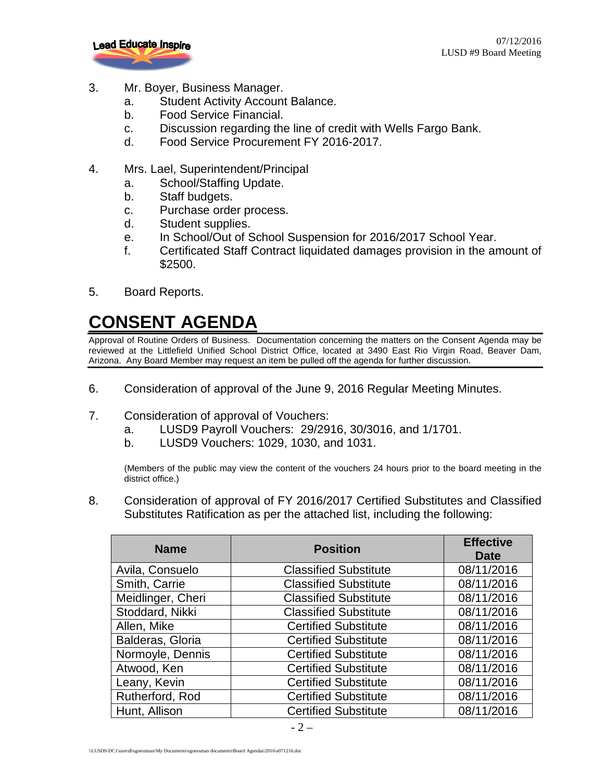

- 3. Mr. Boyer, Business Manager.
	- a. Student Activity Account Balance.
	- b. Food Service Financial.
	- c. Discussion regarding the line of credit with Wells Fargo Bank.
	- d. Food Service Procurement FY 2016-2017.
- 4. Mrs. Lael, Superintendent/Principal
	- a. School/Staffing Update.
	- b. Staff budgets.
	- c. Purchase order process.
	- d. Student supplies.
	- e. In School/Out of School Suspension for 2016/2017 School Year.
	- f. Certificated Staff Contract liquidated damages provision in the amount of \$2500.
- 5. Board Reports.

## **CONSENT AGENDA**

Approval of Routine Orders of Business. Documentation concerning the matters on the Consent Agenda may be reviewed at the Littlefield Unified School District Office, located at 3490 East Rio Virgin Road, Beaver Dam, Arizona. Any Board Member may request an item be pulled off the agenda for further discussion.

- 6. Consideration of approval of the June 9, 2016 Regular Meeting Minutes.
- 7. Consideration of approval of Vouchers:
	- a. LUSD9 Payroll Vouchers: 29/2916, 30/3016, and 1/1701.
	- b. LUSD9 Vouchers: 1029, 1030, and 1031.

(Members of the public may view the content of the vouchers 24 hours prior to the board meeting in the district office.)

8. Consideration of approval of FY 2016/2017 Certified Substitutes and Classified Substitutes Ratification as per the attached list, including the following:

| <b>Name</b>       | <b>Position</b>              | <b>Effective</b><br><b>Date</b> |
|-------------------|------------------------------|---------------------------------|
| Avila, Consuelo   | <b>Classified Substitute</b> | 08/11/2016                      |
| Smith, Carrie     | <b>Classified Substitute</b> | 08/11/2016                      |
| Meidlinger, Cheri | <b>Classified Substitute</b> | 08/11/2016                      |
| Stoddard, Nikki   | <b>Classified Substitute</b> | 08/11/2016                      |
| Allen, Mike       | <b>Certified Substitute</b>  | 08/11/2016                      |
| Balderas, Gloria  | <b>Certified Substitute</b>  | 08/11/2016                      |
| Normoyle, Dennis  | <b>Certified Substitute</b>  | 08/11/2016                      |
| Atwood, Ken       | <b>Certified Substitute</b>  | 08/11/2016                      |
| Leany, Kevin      | <b>Certified Substitute</b>  | 08/11/2016                      |
| Rutherford, Rod   | <b>Certified Substitute</b>  | 08/11/2016                      |
| Hunt, Allison     | <b>Certified Substitute</b>  | 08/11/2016                      |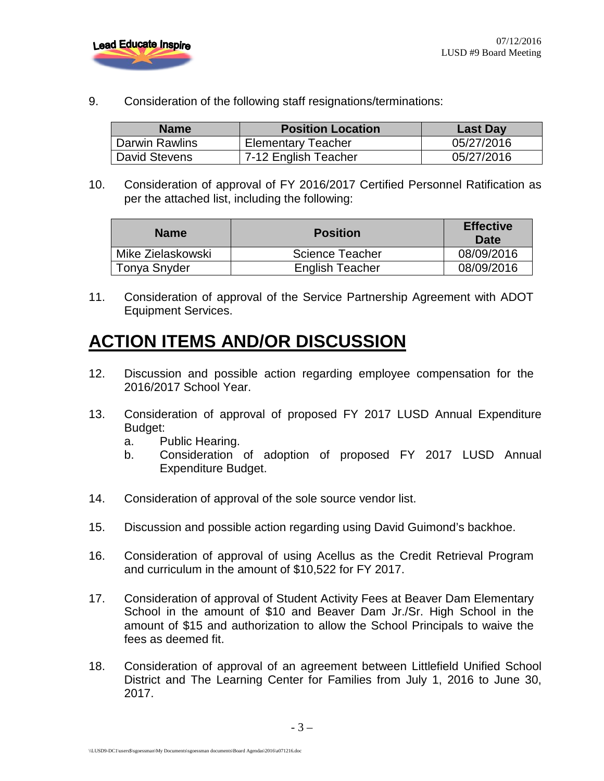

9. Consideration of the following staff resignations/terminations:

| <b>Name</b>    | <b>Position Location</b>  | <b>Last Day</b> |
|----------------|---------------------------|-----------------|
| Darwin Rawlins | <b>Elementary Teacher</b> | 05/27/2016      |
| David Stevens  | 7-12 English Teacher      | 05/27/2016      |

10. Consideration of approval of FY 2016/2017 Certified Personnel Ratification as per the attached list, including the following:

| <b>Name</b>       | <b>Position</b>        | <b>Effective</b><br>Date |
|-------------------|------------------------|--------------------------|
| Mike Zielaskowski | <b>Science Teacher</b> | 08/09/2016               |
| Tonya Snyder      | <b>English Teacher</b> | 08/09/2016               |

11. Consideration of approval of the Service Partnership Agreement with ADOT Equipment Services.

## **ACTION ITEMS AND/OR DISCUSSION**

- 12. Discussion and possible action regarding employee compensation for the 2016/2017 School Year.
- 13. Consideration of approval of proposed FY 2017 LUSD Annual Expenditure Budget:
	- a. Public Hearing.
	- b. Consideration of adoption of proposed FY 2017 LUSD Annual Expenditure Budget.
- 14. Consideration of approval of the sole source vendor list.
- 15. Discussion and possible action regarding using David Guimond's backhoe.
- 16. Consideration of approval of using Acellus as the Credit Retrieval Program and curriculum in the amount of \$10,522 for FY 2017.
- 17. Consideration of approval of Student Activity Fees at Beaver Dam Elementary School in the amount of \$10 and Beaver Dam Jr./Sr. High School in the amount of \$15 and authorization to allow the School Principals to waive the fees as deemed fit.
- 18. Consideration of approval of an agreement between Littlefield Unified School District and The Learning Center for Families from July 1, 2016 to June 30, 2017.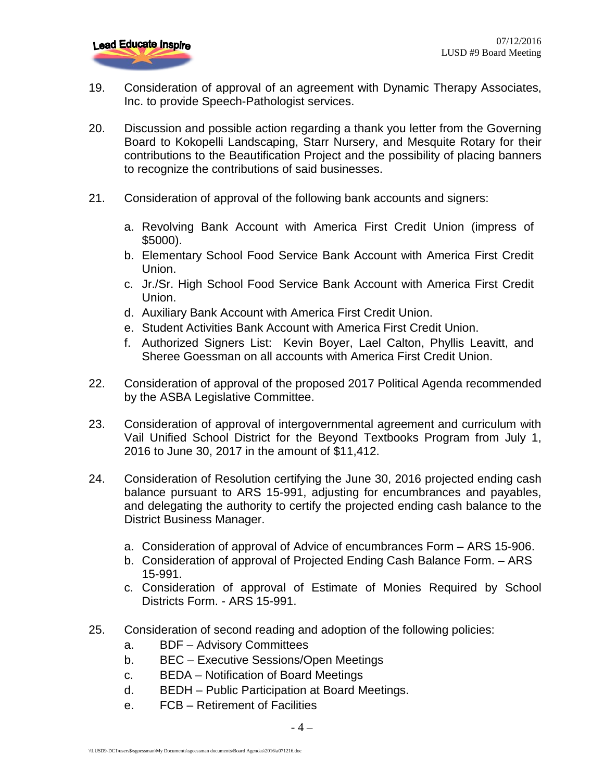- 19. Consideration of approval of an agreement with Dynamic Therapy Associates, Inc. to provide Speech-Pathologist services.
- 20. Discussion and possible action regarding a thank you letter from the Governing Board to Kokopelli Landscaping, Starr Nursery, and Mesquite Rotary for their contributions to the Beautification Project and the possibility of placing banners to recognize the contributions of said businesses.
- 21. Consideration of approval of the following bank accounts and signers:
	- a. Revolving Bank Account with America First Credit Union (impress of \$5000).
	- b. Elementary School Food Service Bank Account with America First Credit Union.
	- c. Jr./Sr. High School Food Service Bank Account with America First Credit Union.
	- d. Auxiliary Bank Account with America First Credit Union.
	- e. Student Activities Bank Account with America First Credit Union.
	- f. Authorized Signers List: Kevin Boyer, Lael Calton, Phyllis Leavitt, and Sheree Goessman on all accounts with America First Credit Union.
- 22. Consideration of approval of the proposed 2017 Political Agenda recommended by the ASBA Legislative Committee.
- 23. Consideration of approval of intergovernmental agreement and curriculum with Vail Unified School District for the Beyond Textbooks Program from July 1, 2016 to June 30, 2017 in the amount of \$11,412.
- 24. Consideration of Resolution certifying the June 30, 2016 projected ending cash balance pursuant to ARS 15-991, adjusting for encumbrances and payables, and delegating the authority to certify the projected ending cash balance to the District Business Manager.
	- a. Consideration of approval of Advice of encumbrances Form ARS 15-906.
	- b. Consideration of approval of Projected Ending Cash Balance Form. ARS 15-991.
	- c. Consideration of approval of Estimate of Monies Required by School Districts Form. - ARS 15-991.
- 25. Consideration of second reading and adoption of the following policies:
	- a. BDF Advisory Committees
	- b. BEC Executive Sessions/Open Meetings
	- c. BEDA Notification of Board Meetings
	- d. BEDH Public Participation at Board Meetings.
	- e. FCB Retirement of Facilities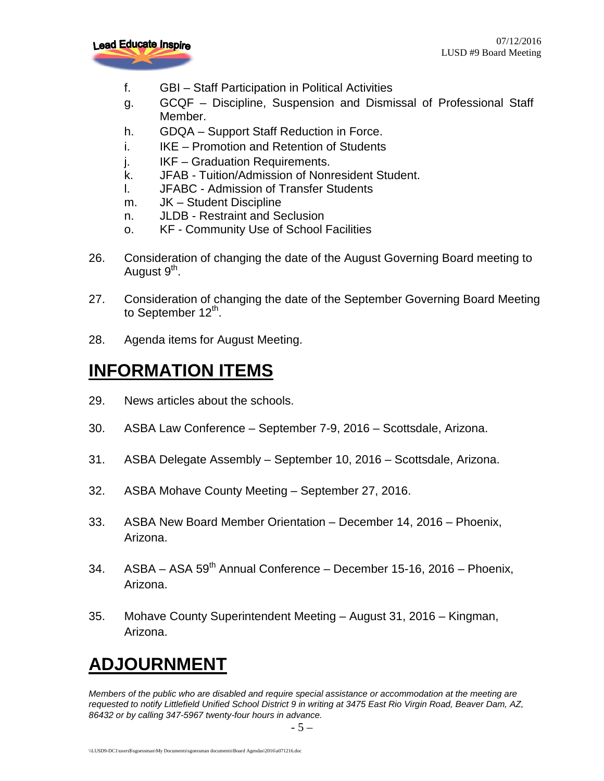

- f. GBI Staff Participation in Political Activities
- g. GCQF Discipline, Suspension and Dismissal of Professional Staff Member.
- h. GDQA Support Staff Reduction in Force.
- i. IKE Promotion and Retention of Students
- j. IKF Graduation Requirements.
- k. JFAB Tuition/Admission of Nonresident Student.
- l. JFABC Admission of Transfer Students
- m. JK Student Discipline
- n. JLDB Restraint and Seclusion
- o. KF Community Use of School Facilities
- 26. Consideration of changing the date of the August Governing Board meeting to August 9<sup>th</sup>.
- 27. Consideration of changing the date of the September Governing Board Meeting to September  $12^{th}$ .
- 28. Agenda items for August Meeting.

## **INFORMATION ITEMS**

- 29. News articles about the schools.
- 30. ASBA Law Conference September 7-9, 2016 Scottsdale, Arizona.
- 31. ASBA Delegate Assembly September 10, 2016 Scottsdale, Arizona.
- 32. ASBA Mohave County Meeting September 27, 2016.
- 33. ASBA New Board Member Orientation December 14, 2016 Phoenix, Arizona.
- 34. ASBA ASA 59<sup>th</sup> Annual Conference December 15-16, 2016 Phoenix, Arizona.
- 35. Mohave County Superintendent Meeting August 31, 2016 Kingman, Arizona.

## **ADJOURNMENT**

*Members of the public who are disabled and require special assistance or accommodation at the meeting are requested to notify Littlefield Unified School District 9 in writing at 3475 East Rio Virgin Road, Beaver Dam, AZ, 86432 or by calling 347-5967 twenty-four hours in advance.*